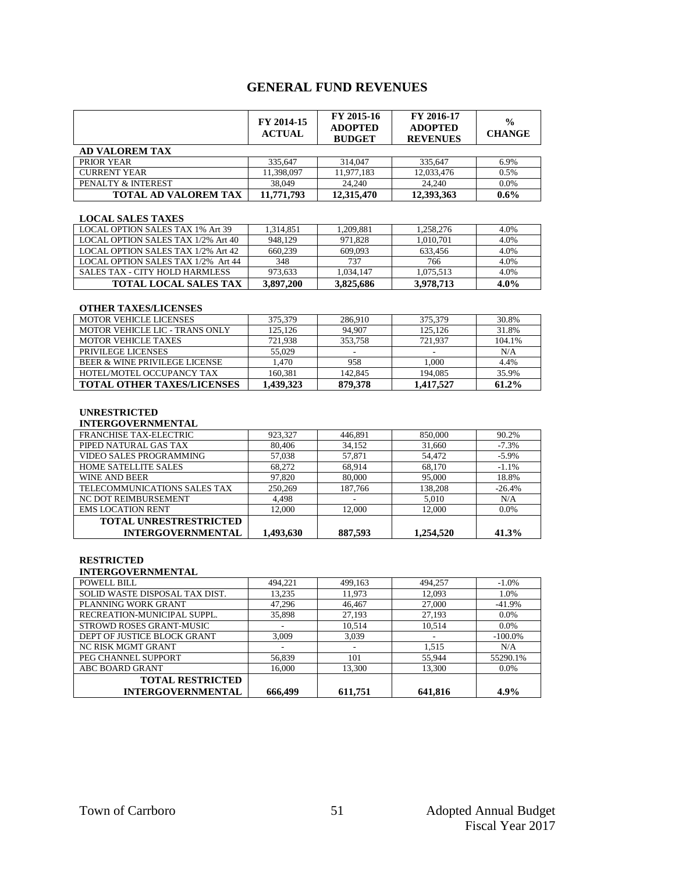## **GENERAL FUND REVENUES**

|                             | FY 2014-15<br><b>ACTUAL</b> | FY 2015-16<br><b>ADOPTED</b><br><b>BUDGET</b> | FY 2016-17<br><b>ADOPTED</b><br><b>REVENUES</b> | $\frac{0}{0}$<br><b>CHANGE</b> |
|-----------------------------|-----------------------------|-----------------------------------------------|-------------------------------------------------|--------------------------------|
| <b>AD VALOREM TAX</b>       |                             |                                               |                                                 |                                |
| PRIOR YEAR                  | 335.647                     | 314,047                                       | 335.647                                         | 6.9%                           |
| <b>CURRENT YEAR</b>         | 11,398,097                  | 11,977,183                                    | 12,033,476                                      | 0.5%                           |
| PENALTY & INTEREST          | 38,049                      | 24,240                                        | 24,240                                          | $0.0\%$                        |
| <b>TOTAL AD VALOREM TAX</b> | 11,771,793                  | 12,315,470                                    | 12,393,363                                      | $0.6\%$                        |

#### **LOCAL SALES TAXES**

| LOCAL OPTION SALES TAX 1% Art 39      | 1.314.851 | 1.209.881 | 1.258.276 | 4.0%    |
|---------------------------------------|-----------|-----------|-----------|---------|
| LOCAL OPTION SALES TAX 1/2% Art 40    | 948.129   | 971.828   | 1.010.701 | 4.0%    |
| LOCAL OPTION SALES TAX 1/2% Art 42    | 660,239   | 609.093   | 633.456   | 4.0%    |
| LOCAL OPTION SALES TAX 1/2% Art 44    | 348       | 737       | 766       | 4.0%    |
| <b>SALES TAX - CITY HOLD HARMLESS</b> | 973.633   | 1.034.147 | 1,075,513 | 4.0%    |
| <b>TOTAL LOCAL SALES TAX</b>          | 3,897,200 | 3.825.686 | 3,978,713 | $4.0\%$ |

#### **OTHER TAXES/LICENSES**

| <b>MOTOR VEHICLE LICENSES</b>     | 375,379   | 286,910 | 375,379   | 30.8%  |
|-----------------------------------|-----------|---------|-----------|--------|
| MOTOR VEHICLE LIC - TRANS ONLY    | 125.126   | 94.907  | 125,126   | 31.8%  |
| <b>MOTOR VEHICLE TAXES</b>        | 721.938   | 353,758 | 721.937   | 104.1% |
| PRIVILEGE LICENSES                | 55,029    |         |           | N/A    |
| BEER & WINE PRIVILEGE LICENSE     | 1.470     | 958     | 1.000     | 4.4%   |
| HOTEL/MOTEL OCCUPANCY TAX         | 160.381   | 142.845 | 194,085   | 35.9%  |
| <b>TOTAL OTHER TAXES/LICENSES</b> | 1.439.323 | 879,378 | 1.417.527 | 61.2%  |

#### **UNRESTRICTED**

#### **INTERGOVERNMENTAL**

| <b>FRANCHISE TAX-ELECTRIC</b> | 923,327   | 446,891 | 850,000   | 90.2%    |
|-------------------------------|-----------|---------|-----------|----------|
| PIPED NATURAL GAS TAX         | 80,406    | 34,152  | 31,660    | $-7.3%$  |
| VIDEO SALES PROGRAMMING       | 57,038    | 57.871  | 54,472    | $-5.9\%$ |
| <b>HOME SATELLITE SALES</b>   | 68,272    | 68.914  | 68,170    | $-1.1%$  |
| WINE AND BEER                 | 97.820    | 80,000  | 95,000    | 18.8%    |
| TELECOMMUNICATIONS SALES TAX  | 250,269   | 187,766 | 138,208   | $-26.4%$ |
| NC DOT REIMBURSEMENT          | 4,498     |         | 5,010     | N/A      |
| <b>EMS LOCATION RENT</b>      | 12,000    | 12,000  | 12,000    | $0.0\%$  |
| TOTAL UNRESTRESTRICTED        |           |         |           |          |
| <b>INTERGOVERNMENTAL</b>      | 1.493.630 | 887,593 | 1.254,520 | 41.3%    |

#### **RESTRICTED**

#### **INTERGOVERNMENTAL**

| <b>POWELL BILL</b>             | 494,221 | 499,163 | 494,257 | $-1.0\%$   |
|--------------------------------|---------|---------|---------|------------|
| SOLID WASTE DISPOSAL TAX DIST. | 13,235  | 11,973  | 12,093  | 1.0%       |
| PLANNING WORK GRANT            | 47,296  | 46,467  | 27,000  | $-41.9\%$  |
| RECREATION-MUNICIPAL SUPPL.    | 35,898  | 27,193  | 27,193  | $0.0\%$    |
| STROWD ROSES GRANT-MUSIC       |         | 10,514  | 10,514  | $0.0\%$    |
| DEPT OF JUSTICE BLOCK GRANT    | 3,009   | 3,039   |         | $-100.0\%$ |
| NC RISK MGMT GRANT             | ۰       |         | 1,515   | N/A        |
| PEG CHANNEL SUPPORT            | 56,839  | 101     | 55,944  | 55290.1%   |
| ABC BOARD GRANT                | 16,000  | 13.300  | 13,300  | $0.0\%$    |
| <b>TOTAL RESTRICTED</b>        |         |         |         |            |
| <b>INTERGOVERNMENTAL</b>       | 666.499 | 611.751 | 641.816 | 4.9%       |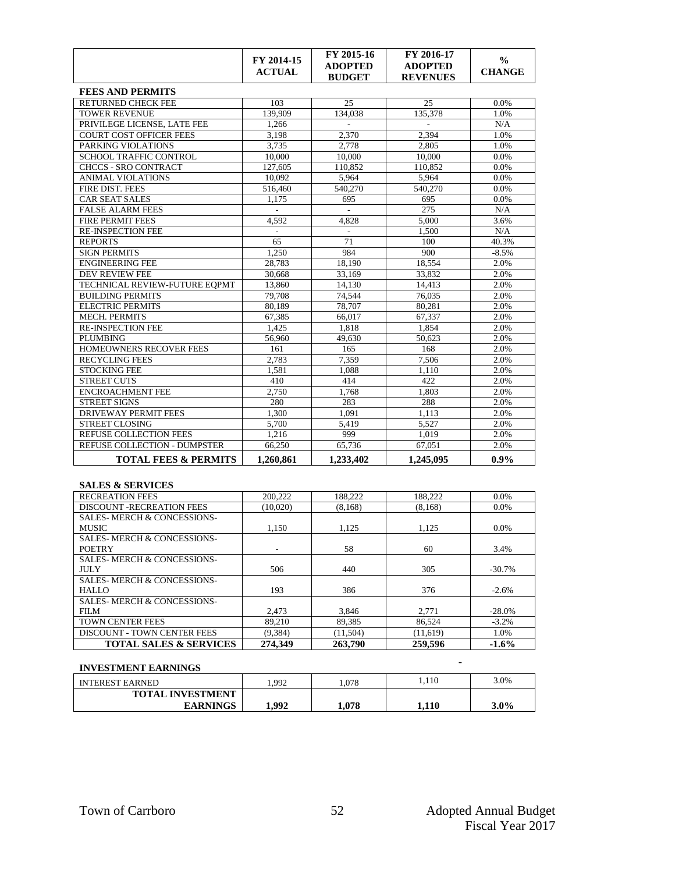|                                     | FY 2014-15<br><b>ACTUAL</b> | FY 2015-16<br><b>ADOPTED</b><br><b>BUDGET</b> | FY 2016-17<br><b>ADOPTED</b><br><b>REVENUES</b> | $\frac{0}{0}$<br><b>CHANGE</b> |
|-------------------------------------|-----------------------------|-----------------------------------------------|-------------------------------------------------|--------------------------------|
| <b>FEES AND PERMITS</b>             |                             |                                               |                                                 |                                |
| <b>RETURNED CHECK FEE</b>           | 103                         | 25                                            | 25                                              | 0.0%                           |
| <b>TOWER REVENUE</b>                | 139.909                     | 134.038                                       | 135.378                                         | 1.0%                           |
| PRIVILEGE LICENSE, LATE FEE         | 1,266                       |                                               |                                                 | N/A                            |
| COURT COST OFFICER FEES             | 3.198                       | 2.370                                         | 2.394                                           | 1.0%                           |
| PARKING VIOLATIONS                  | 3,735                       | 2.778                                         | 2.805                                           | 1.0%                           |
| <b>SCHOOL TRAFFIC CONTROL</b>       | 10.000                      | 10,000                                        | 10.000                                          | 0.0%                           |
| <b>CHCCS - SRO CONTRACT</b>         | 127,605                     | 110,852                                       | 110,852                                         | 0.0%                           |
| <b>ANIMAL VIOLATIONS</b>            | 10,092                      | 5,964                                         | 5,964                                           | 0.0%                           |
| <b>FIRE DIST. FEES</b>              | 516,460                     | 540,270                                       | 540,270                                         | 0.0%                           |
| <b>CAR SEAT SALES</b>               | 1.175                       | 695                                           | 695                                             | 0.0%                           |
| <b>FALSE ALARM FEES</b>             |                             |                                               | 275                                             | N/A                            |
| <b>FIRE PERMIT FEES</b>             | 4,592                       | 4.828                                         | 5,000                                           | 3.6%                           |
| <b>RE-INSPECTION FEE</b>            | $\bar{\phantom{a}}$         |                                               | 1.500                                           | N/A                            |
| <b>REPORTS</b>                      | 65                          | 71                                            | 100                                             | 40.3%                          |
| <b>SIGN PERMITS</b>                 | 1.250                       | 984                                           | 900                                             | $-8.5%$                        |
| <b>ENGINEERING FEE</b>              | 28.783                      | 18.190                                        | 18.554                                          | 2.0%                           |
| <b>DEV REVIEW FEE</b>               | 30.668                      | 33.169                                        | 33.832                                          | 2.0%                           |
| TECHNICAL REVIEW-FUTURE EOPMT       | 13,860                      | 14.130                                        | 14,413                                          | 2.0%                           |
| <b>BUILDING PERMITS</b>             | 79,708                      | 74.544                                        | 76.035                                          | 2.0%                           |
| <b>ELECTRIC PERMITS</b>             | 80.189                      | 78,707                                        | 80,281                                          | 2.0%                           |
| <b>MECH. PERMITS</b>                | 67.385                      | 66.017                                        | 67.337                                          | 2.0%                           |
| <b>RE-INSPECTION FEE</b>            | 1.425                       | 1.818                                         | 1.854                                           | 2.0%                           |
| <b>PLUMBING</b>                     | 56,960                      | 49,630                                        | 50.623                                          | 2.0%                           |
| HOMEOWNERS RECOVER FEES             | 161                         | 165                                           | 168                                             | 2.0%                           |
| <b>RECYCLING FEES</b>               | 2,783                       | 7,359                                         | 7.506                                           | 2.0%                           |
| STOCKING FEE                        | 1,581                       | 1.088                                         | 1.110                                           | 2.0%                           |
| <b>STREET CUTS</b>                  | 410                         | 414                                           | 422                                             | 2.0%                           |
| <b>ENCROACHMENT FEE</b>             | 2,750                       | 1,768                                         | 1,803                                           | 2.0%                           |
| <b>STREET SIGNS</b>                 | 280                         | 283                                           | 288                                             | 2.0%                           |
| <b>DRIVEWAY PERMIT FEES</b>         | 1,300                       | 1.091                                         | 1.113                                           | 2.0%                           |
| <b>STREET CLOSING</b>               | 5.700                       | 5.419                                         | 5.527                                           | 2.0%                           |
| <b>REFUSE COLLECTION FEES</b>       | 1,216                       | 999                                           | 1.019                                           | 2.0%                           |
| <b>REFUSE COLLECTION - DUMPSTER</b> | 66,250                      | 65,736                                        | 67,051                                          | 2.0%                           |
| <b>TOTAL FEES &amp; PERMITS</b>     | 1,260,861                   | 1,233,402                                     | 1,245,095                                       | $0.9\%$                        |

### **SALES & SERVICES**

| <b>TOTAL SALES &amp; SERVICES</b>     | 274.349  | 263,790  | 259,596  | $-1.6\%$  |
|---------------------------------------|----------|----------|----------|-----------|
| <b>DISCOUNT - TOWN CENTER FEES</b>    | (9.384)  | (11,504) | (11,619) | 1.0%      |
| <b>TOWN CENTER FEES</b>               | 89,210   | 89,385   | 86,524   | $-3.2%$   |
| FILM                                  | 2.473    | 3.846    | 2,771    | $-28.0\%$ |
| <b>SALES-MERCH &amp; CONCESSIONS-</b> |          |          |          |           |
| HALLO                                 | 193      | 386      | 376      | $-2.6%$   |
| <b>SALES-MERCH &amp; CONCESSIONS-</b> |          |          |          |           |
| <b>JULY</b>                           | 506      | 440      | 305      | $-30.7\%$ |
| <b>SALES-MERCH &amp; CONCESSIONS-</b> |          |          |          |           |
| <b>POETRY</b>                         |          | 58       | 60       | 3.4%      |
| <b>SALES-MERCH &amp; CONCESSIONS-</b> |          |          |          |           |
| <b>MUSIC</b>                          | 1.150    | 1.125    | 1.125    | $0.0\%$   |
| <b>SALES-MERCH &amp; CONCESSIONS-</b> |          |          |          |           |
| <b>DISCOUNT -RECREATION FEES</b>      | (10,020) | (8, 168) | (8,168)  | 0.0%      |
| <b>RECREATION FEES</b>                | 200.222  | 188.222  | 188,222  | 0.0%      |

## **INVESTMENT EARNINGS** -

| пуративні вакнічно      |      |      |       |      |
|-------------------------|------|------|-------|------|
| <b>INTEREST EARNED</b>  | .992 | .078 | . 110 | 3.0% |
| <b>TOTAL INVESTMENT</b> |      |      |       |      |
| <b>EARNINGS</b>         | .992 | .078 | l.110 | 3.0% |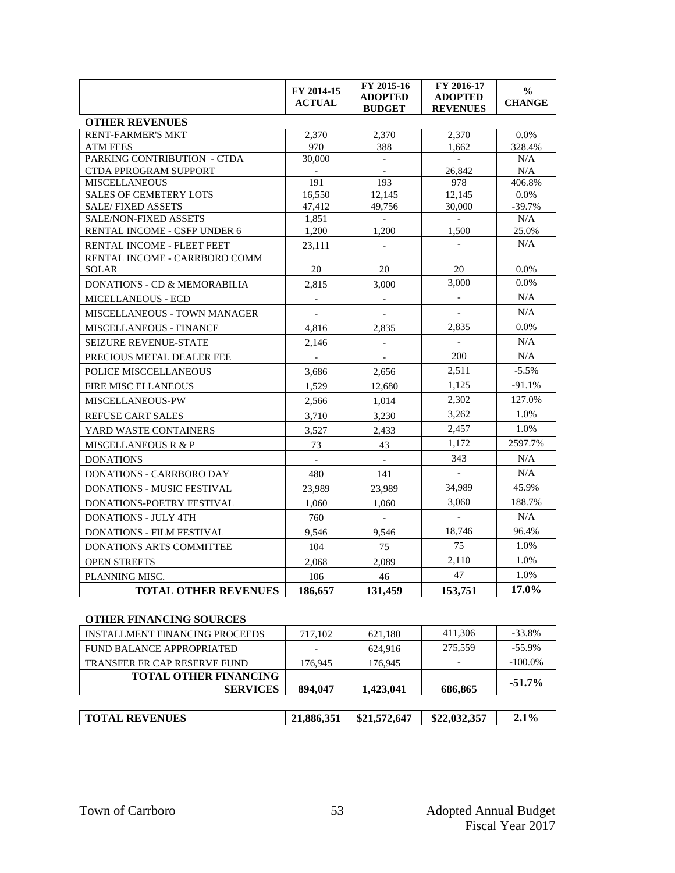|                                                       | FY 2014-15<br><b>ACTUAL</b> | FY 2015-16<br><b>ADOPTED</b><br><b>BUDGET</b> | FY 2016-17<br><b>ADOPTED</b><br><b>REVENUES</b> | $\frac{0}{0}$<br><b>CHANGE</b> |
|-------------------------------------------------------|-----------------------------|-----------------------------------------------|-------------------------------------------------|--------------------------------|
| <b>OTHER REVENUES</b>                                 |                             |                                               |                                                 |                                |
| <b>RENT-FARMER'S MKT</b>                              | 2,370                       | 2.370                                         | 2,370                                           | 0.0%                           |
| <b>ATM FEES</b>                                       | 970                         | 388                                           | 1.662                                           | 328.4%                         |
| <b>PARKING CONTRIBUTION - CTDA</b>                    | 30,000                      | $\sim$                                        | $\overline{a}$                                  | N/A                            |
| <b>CTDA PPROGRAM SUPPORT</b>                          |                             | $\overline{\phantom{a}}$                      | 26,842                                          | N/A                            |
| <b>MISCELLANEOUS</b>                                  | 191                         | 193                                           | 978                                             | 406.8%                         |
| <b>SALES OF CEMETERY LOTS</b>                         | 16.550                      | 12.145                                        | 12.145                                          | 0.0%                           |
| <b>SALE/FIXED ASSETS</b>                              | 47.412                      | 49,756                                        | 30,000                                          | $-39.7%$                       |
| SALE/NON-FIXED ASSETS<br>RENTAL INCOME - CSFP UNDER 6 | 1,851<br>1,200              | $\sim$<br>1.200                               | $\mathbf{r}$<br>1,500                           | N/A<br>25.0%                   |
|                                                       |                             |                                               |                                                 | N/A                            |
| RENTAL INCOME - FLEET FEET                            | 23,111                      |                                               |                                                 |                                |
| RENTAL INCOME - CARRBORO COMM<br><b>SOLAR</b>         | 20                          | 20                                            | 20                                              | 0.0%                           |
| DONATIONS - CD & MEMORABILIA                          | 2.815                       | 3.000                                         | 3,000                                           | 0.0%                           |
| <b>MICELLANEOUS - ECD</b>                             | $\equiv$                    |                                               | $\blacksquare$                                  | N/A                            |
| <b>MISCELLANEOUS - TOWN MANAGER</b>                   |                             |                                               |                                                 | N/A                            |
| MISCELLANEOUS - FINANCE                               | 4,816                       | 2,835                                         | 2,835                                           | 0.0%                           |
| <b>SEIZURE REVENUE-STATE</b>                          | 2.146                       |                                               |                                                 | N/A                            |
| PRECIOUS METAL DEALER FEE                             | $\blacksquare$              | $\overline{\phantom{a}}$                      | 200                                             | N/A                            |
| POLICE MISCCELLANEOUS                                 | 3.686                       | 2.656                                         | 2,511                                           | $-5.5%$                        |
| <b>FIRE MISC ELLANEOUS</b>                            | 1.529                       | 12,680                                        | 1,125                                           | $-91.1%$                       |
| MISCELLANEOUS-PW                                      | 2,566                       | 1,014                                         | 2,302                                           | 127.0%                         |
| <b>REFUSE CART SALES</b>                              | 3,710                       | 3,230                                         | 3,262                                           | 1.0%                           |
| YARD WASTE CONTAINERS                                 | 3,527                       | 2,433                                         | 2,457                                           | 1.0%                           |
| <b>MISCELLANEOUS R &amp; P</b>                        | 73                          | 43                                            | 1.172                                           | 2597.7%                        |
| <b>DONATIONS</b>                                      | $\overline{a}$              | $\mathbf{r}$                                  | 343                                             | N/A                            |
| <b>DONATIONS - CARRBORO DAY</b>                       | 480                         | 141                                           | $\blacksquare$                                  | N/A                            |
| <b>DONATIONS - MUSIC FESTIVAL</b>                     | 23.989                      | 23.989                                        | 34,989                                          | 45.9%                          |
| DONATIONS-POETRY FESTIVAL                             | 1.060                       | 1.060                                         | 3,060                                           | 188.7%                         |
| <b>DONATIONS - JULY 4TH</b>                           | 760                         | $\mathbb{L}$                                  |                                                 | N/A                            |
| <b>DONATIONS - FILM FESTIVAL</b>                      | 9.546                       | 9.546                                         | 18,746                                          | 96.4%                          |
| <b>DONATIONS ARTS COMMITTEE</b>                       | 104                         | 75                                            | 75                                              | 1.0%                           |
| <b>OPEN STREETS</b>                                   | 2,068                       | 2,089                                         | 2,110                                           | 1.0%                           |
| PLANNING MISC.                                        | 106                         | 46                                            | 47                                              | 1.0%                           |
| <b>TOTAL OTHER REVENUES</b>                           | 186,657                     | 131,459                                       | 153,751                                         | 17.0%                          |

### **OTHER FINANCING SOURCES**

| <b>INSTALLMENT FINANCING PROCEEDS</b> | 717,102 | 621,180   | 411.306 | $-33.8\%$  |
|---------------------------------------|---------|-----------|---------|------------|
| FUND BALANCE APPROPRIATED             |         | 624.916   | 275,559 | $-55.9\%$  |
| <b>TRANSFER FR CAP RESERVE FUND</b>   | 176,945 | 176,945   |         | $-100.0\%$ |
| <b>TOTAL OTHER FINANCING</b>          |         |           |         | $-51.7\%$  |
| <b>SERVICES</b>                       | 894,047 | 1,423,041 | 686,865 |            |
|                                       |         |           |         |            |
|                                       |         |           |         |            |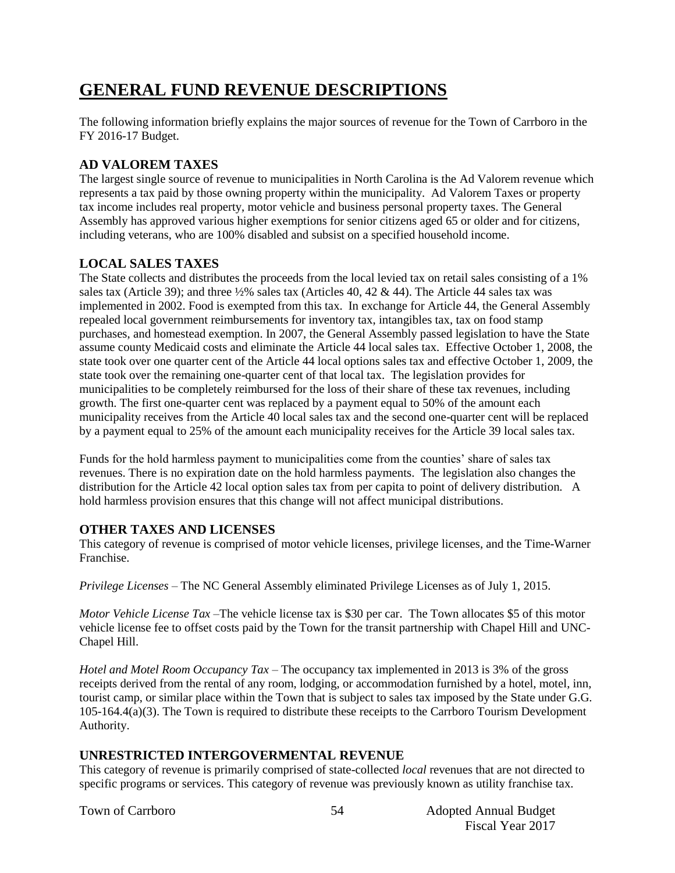# **GENERAL FUND REVENUE DESCRIPTIONS**

The following information briefly explains the major sources of revenue for the Town of Carrboro in the FY 2016-17 Budget.

## **AD VALOREM TAXES**

The largest single source of revenue to municipalities in North Carolina is the Ad Valorem revenue which represents a tax paid by those owning property within the municipality. Ad Valorem Taxes or property tax income includes real property, motor vehicle and business personal property taxes. The General Assembly has approved various higher exemptions for senior citizens aged 65 or older and for citizens, including veterans, who are 100% disabled and subsist on a specified household income.

### **LOCAL SALES TAXES**

The State collects and distributes the proceeds from the local levied tax on retail sales consisting of a 1% sales tax (Article 39); and three ½% sales tax (Articles 40, 42 & 44). The Article 44 sales tax was implemented in 2002. Food is exempted from this tax. In exchange for Article 44, the General Assembly repealed local government reimbursements for inventory tax, intangibles tax, tax on food stamp purchases, and homestead exemption. In 2007, the General Assembly passed legislation to have the State assume county Medicaid costs and eliminate the Article 44 local sales tax. Effective October 1, 2008, the state took over one quarter cent of the Article 44 local options sales tax and effective October 1, 2009, the state took over the remaining one-quarter cent of that local tax. The legislation provides for municipalities to be completely reimbursed for the loss of their share of these tax revenues, including growth. The first one-quarter cent was replaced by a payment equal to 50% of the amount each municipality receives from the Article 40 local sales tax and the second one-quarter cent will be replaced by a payment equal to 25% of the amount each municipality receives for the Article 39 local sales tax.

Funds for the hold harmless payment to municipalities come from the counties' share of sales tax revenues. There is no expiration date on the hold harmless payments. The legislation also changes the distribution for the Article 42 local option sales tax from per capita to point of delivery distribution. A hold harmless provision ensures that this change will not affect municipal distributions.

### **OTHER TAXES AND LICENSES**

This category of revenue is comprised of motor vehicle licenses, privilege licenses, and the Time-Warner Franchise.

*Privilege Licenses* – The NC General Assembly eliminated Privilege Licenses as of July 1, 2015.

*Motor Vehicle License Tax* –The vehicle license tax is \$30 per car. The Town allocates \$5 of this motor vehicle license fee to offset costs paid by the Town for the transit partnership with Chapel Hill and UNC-Chapel Hill.

*Hotel and Motel Room Occupancy Tax* – The occupancy tax implemented in 2013 is 3% of the gross receipts derived from the rental of any room, lodging, or accommodation furnished by a hotel, motel, inn, tourist camp, or similar place within the Town that is subject to sales tax imposed by the State under G.G. 105-164.4(a)(3). The Town is required to distribute these receipts to the Carrboro Tourism Development Authority.

### **UNRESTRICTED INTERGOVERMENTAL REVENUE**

This category of revenue is primarily comprised of state-collected *local* revenues that are not directed to specific programs or services. This category of revenue was previously known as utility franchise tax.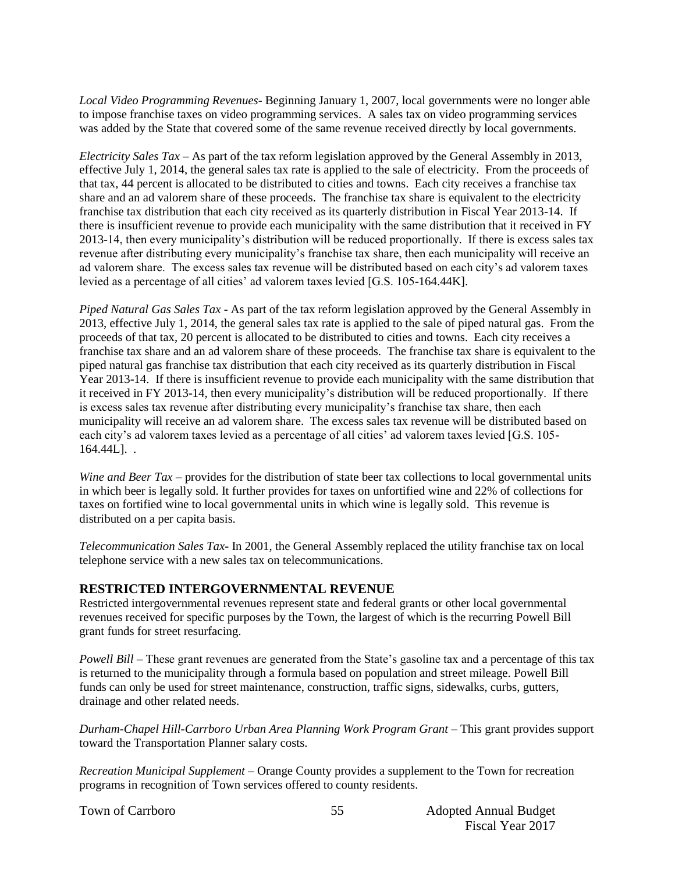*Local Video Programming Revenues*- Beginning January 1, 2007, local governments were no longer able to impose franchise taxes on video programming services. A sales tax on video programming services was added by the State that covered some of the same revenue received directly by local governments.

*Electricity Sales Tax* – As part of the tax reform legislation approved by the General Assembly in 2013, effective July 1, 2014, the general sales tax rate is applied to the sale of electricity. From the proceeds of that tax, 44 percent is allocated to be distributed to cities and towns. Each city receives a franchise tax share and an ad valorem share of these proceeds. The franchise tax share is equivalent to the electricity franchise tax distribution that each city received as its quarterly distribution in Fiscal Year 2013-14. If there is insufficient revenue to provide each municipality with the same distribution that it received in FY 2013-14, then every municipality's distribution will be reduced proportionally. If there is excess sales tax revenue after distributing every municipality's franchise tax share, then each municipality will receive an ad valorem share. The excess sales tax revenue will be distributed based on each city's ad valorem taxes levied as a percentage of all cities' ad valorem taxes levied [G.S. 105-164.44K].

*Piped Natural Gas Sales Tax* - As part of the tax reform legislation approved by the General Assembly in 2013, effective July 1, 2014, the general sales tax rate is applied to the sale of piped natural gas. From the proceeds of that tax, 20 percent is allocated to be distributed to cities and towns. Each city receives a franchise tax share and an ad valorem share of these proceeds. The franchise tax share is equivalent to the piped natural gas franchise tax distribution that each city received as its quarterly distribution in Fiscal Year 2013-14. If there is insufficient revenue to provide each municipality with the same distribution that it received in FY 2013-14, then every municipality's distribution will be reduced proportionally. If there is excess sales tax revenue after distributing every municipality's franchise tax share, then each municipality will receive an ad valorem share. The excess sales tax revenue will be distributed based on each city's ad valorem taxes levied as a percentage of all cities' ad valorem taxes levied [G.S. 105- 164.44L]. .

*Wine and Beer Tax* – provides for the distribution of state beer tax collections to local governmental units in which beer is legally sold. It further provides for taxes on unfortified wine and 22% of collections for taxes on fortified wine to local governmental units in which wine is legally sold. This revenue is distributed on a per capita basis.

*Telecommunication Sales Tax*- In 2001, the General Assembly replaced the utility franchise tax on local telephone service with a new sales tax on telecommunications.

### **RESTRICTED INTERGOVERNMENTAL REVENUE**

Restricted intergovernmental revenues represent state and federal grants or other local governmental revenues received for specific purposes by the Town, the largest of which is the recurring Powell Bill grant funds for street resurfacing.

*Powell Bill* – These grant revenues are generated from the State's gasoline tax and a percentage of this tax is returned to the municipality through a formula based on population and street mileage. Powell Bill funds can only be used for street maintenance, construction, traffic signs, sidewalks, curbs, gutters, drainage and other related needs.

*Durham-Chapel Hill-Carrboro Urban Area Planning Work Program Grant* – This grant provides support toward the Transportation Planner salary costs.

*Recreation Municipal Supplement –* Orange County provides a supplement to the Town for recreation programs in recognition of Town services offered to county residents.

55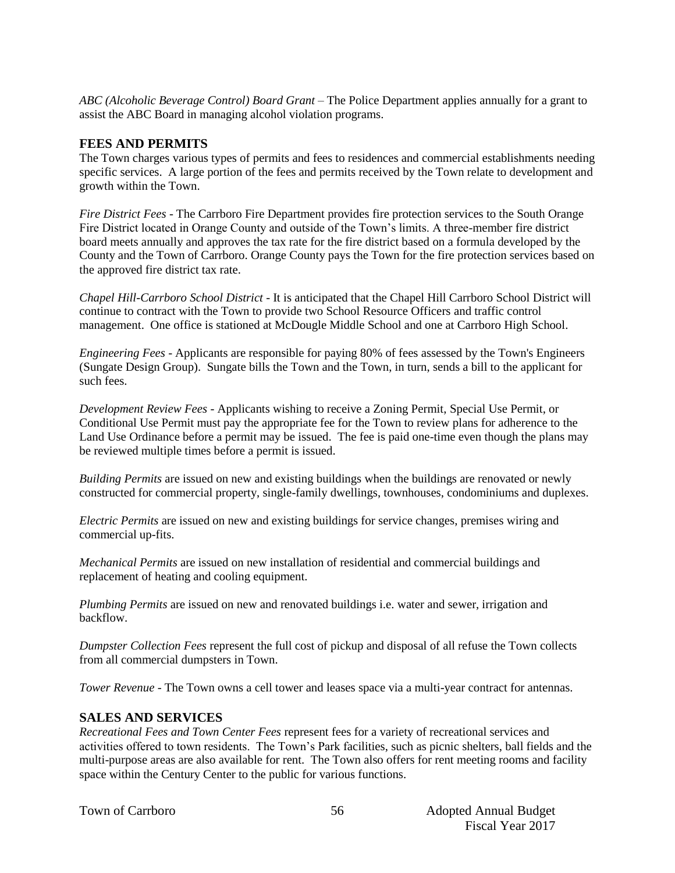*ABC (Alcoholic Beverage Control) Board Grant* – The Police Department applies annually for a grant to assist the ABC Board in managing alcohol violation programs.

#### **FEES AND PERMITS**

The Town charges various types of permits and fees to residences and commercial establishments needing specific services. A large portion of the fees and permits received by the Town relate to development and growth within the Town.

*Fire District Fees* - The Carrboro Fire Department provides fire protection services to the South Orange Fire District located in Orange County and outside of the Town's limits. A three-member fire district board meets annually and approves the tax rate for the fire district based on a formula developed by the County and the Town of Carrboro. Orange County pays the Town for the fire protection services based on the approved fire district tax rate.

*Chapel Hill-Carrboro School District* - It is anticipated that the Chapel Hill Carrboro School District will continue to contract with the Town to provide two School Resource Officers and traffic control management. One office is stationed at McDougle Middle School and one at Carrboro High School.

*Engineering Fees* - Applicants are responsible for paying 80% of fees assessed by the Town's Engineers (Sungate Design Group). Sungate bills the Town and the Town, in turn, sends a bill to the applicant for such fees.

*Development Review Fees* - Applicants wishing to receive a Zoning Permit, Special Use Permit, or Conditional Use Permit must pay the appropriate fee for the Town to review plans for adherence to the Land Use Ordinance before a permit may be issued. The fee is paid one-time even though the plans may be reviewed multiple times before a permit is issued.

*Building Permits* are issued on new and existing buildings when the buildings are renovated or newly constructed for commercial property, single-family dwellings, townhouses, condominiums and duplexes.

*Electric Permits* are issued on new and existing buildings for service changes, premises wiring and commercial up-fits.

*Mechanical Permits* are issued on new installation of residential and commercial buildings and replacement of heating and cooling equipment.

*Plumbing Permits* are issued on new and renovated buildings i.e. water and sewer, irrigation and backflow.

*Dumpster Collection Fees* represent the full cost of pickup and disposal of all refuse the Town collects from all commercial dumpsters in Town.

*Tower Revenue* - The Town owns a cell tower and leases space via a multi-year contract for antennas.

#### **SALES AND SERVICES**

*Recreational Fees and Town Center Fees* represent fees for a variety of recreational services and activities offered to town residents. The Town's Park facilities, such as picnic shelters, ball fields and the multi-purpose areas are also available for rent. The Town also offers for rent meeting rooms and facility space within the Century Center to the public for various functions.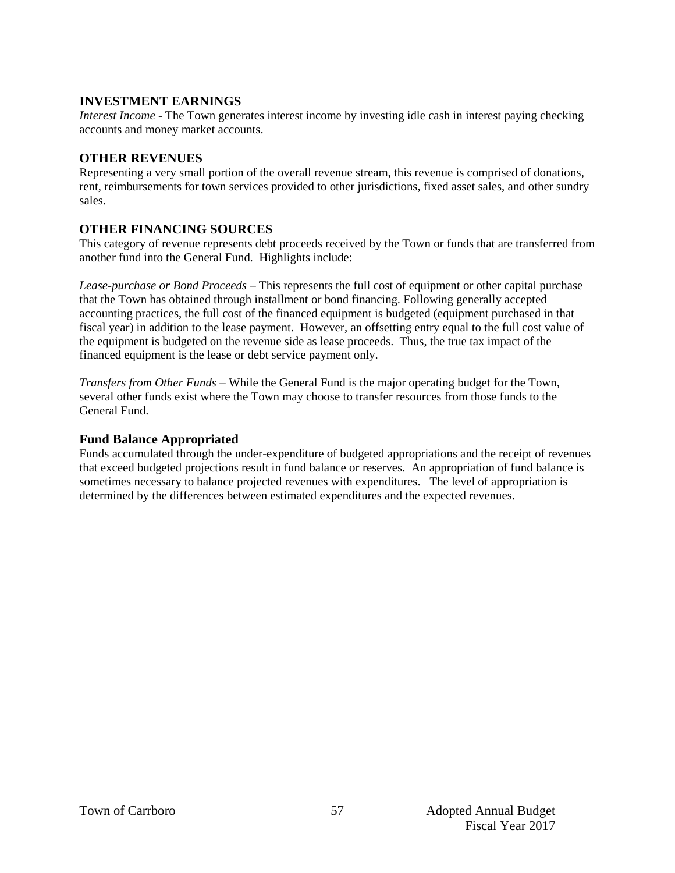### **INVESTMENT EARNINGS**

*Interest Income* - The Town generates interest income by investing idle cash in interest paying checking accounts and money market accounts.

### **OTHER REVENUES**

Representing a very small portion of the overall revenue stream, this revenue is comprised of donations, rent, reimbursements for town services provided to other jurisdictions, fixed asset sales, and other sundry sales.

### **OTHER FINANCING SOURCES**

This category of revenue represents debt proceeds received by the Town or funds that are transferred from another fund into the General Fund. Highlights include:

*Lease-purchase or Bond Proceeds –* This represents the full cost of equipment or other capital purchase that the Town has obtained through installment or bond financing. Following generally accepted accounting practices, the full cost of the financed equipment is budgeted (equipment purchased in that fiscal year) in addition to the lease payment. However, an offsetting entry equal to the full cost value of the equipment is budgeted on the revenue side as lease proceeds. Thus, the true tax impact of the financed equipment is the lease or debt service payment only.

*Transfers from Other Funds –* While the General Fund is the major operating budget for the Town, several other funds exist where the Town may choose to transfer resources from those funds to the General Fund.

#### **Fund Balance Appropriated**

Funds accumulated through the under-expenditure of budgeted appropriations and the receipt of revenues that exceed budgeted projections result in fund balance or reserves. An appropriation of fund balance is sometimes necessary to balance projected revenues with expenditures. The level of appropriation is determined by the differences between estimated expenditures and the expected revenues.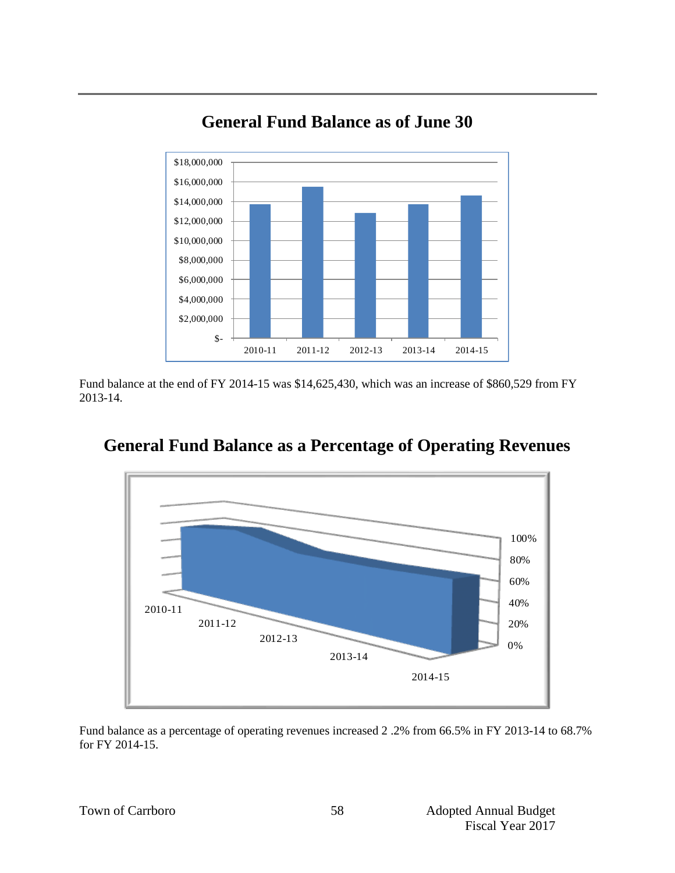

# **General Fund Balance as of June 30**

Fund balance at the end of FY 2014-15 was \$14,625,430, which was an increase of \$860,529 from FY 2013-14.



# **General Fund Balance as a Percentage of Operating Revenues**

Fund balance as a percentage of operating revenues increased 2 .2% from 66.5% in FY 2013-14 to 68.7% for FY 2014-15.